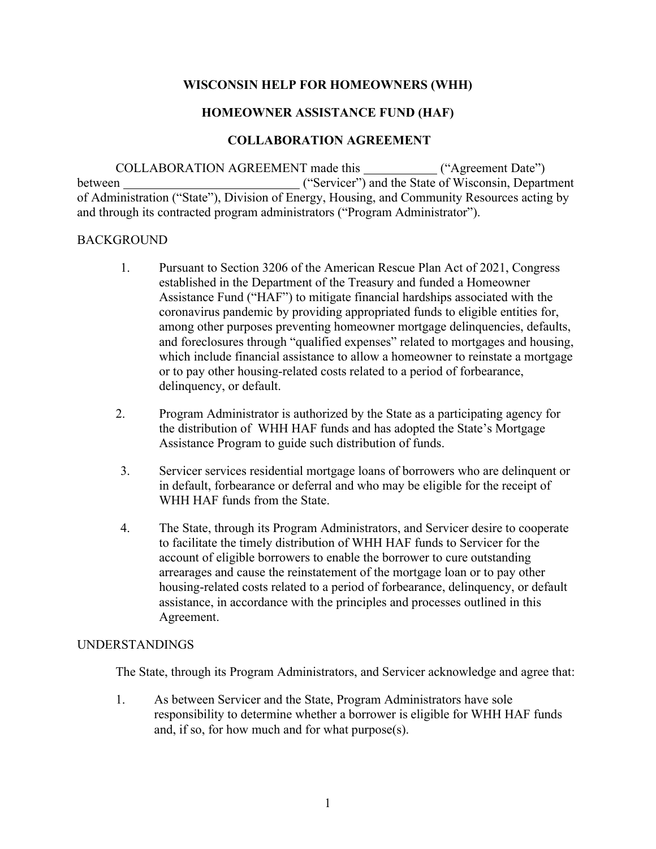## **WISCONSIN HELP FOR HOMEOWNERS (WHH)**

## **HOMEOWNER ASSISTANCE FUND (HAF)**

## **COLLABORATION AGREEMENT**

COLLABORATION AGREEMENT made this ("Agreement Date") between ("Servicer") and the State of Wisconsin, Department of Administration ("State"), Division of Energy, Housing, and Community Resources acting by and through its contracted program administrators ("Program Administrator").

#### BACKGROUND

- 1. Pursuant to Section 3206 of the American Rescue Plan Act of 2021, Congress established in the Department of the Treasury and funded a Homeowner Assistance Fund ("HAF") to mitigate financial hardships associated with the coronavirus pandemic by providing appropriated funds to eligible entities for, among other purposes preventing homeowner mortgage delinquencies, defaults, and foreclosures through "qualified expenses" related to mortgages and housing, which include financial assistance to allow a homeowner to reinstate a mortgage or to pay other housing-related costs related to a period of forbearance, delinquency, or default.
- 2. Program Administrator is authorized by the State as a participating agency for the distribution of WHH HAF funds and has adopted the State's Mortgage Assistance Program to guide such distribution of funds.
- 3. Servicer services residential mortgage loans of borrowers who are delinquent or in default, forbearance or deferral and who may be eligible for the receipt of WHH HAF funds from the State.
- 4. The State, through its Program Administrators, and Servicer desire to cooperate to facilitate the timely distribution of WHH HAF funds to Servicer for the account of eligible borrowers to enable the borrower to cure outstanding arrearages and cause the reinstatement of the mortgage loan or to pay other housing-related costs related to a period of forbearance, delinquency, or default assistance, in accordance with the principles and processes outlined in this Agreement.

### UNDERSTANDINGS

The State, through its Program Administrators, and Servicer acknowledge and agree that:

1. As between Servicer and the State, Program Administrators have sole responsibility to determine whether a borrower is eligible for WHH HAF funds and, if so, for how much and for what purpose(s).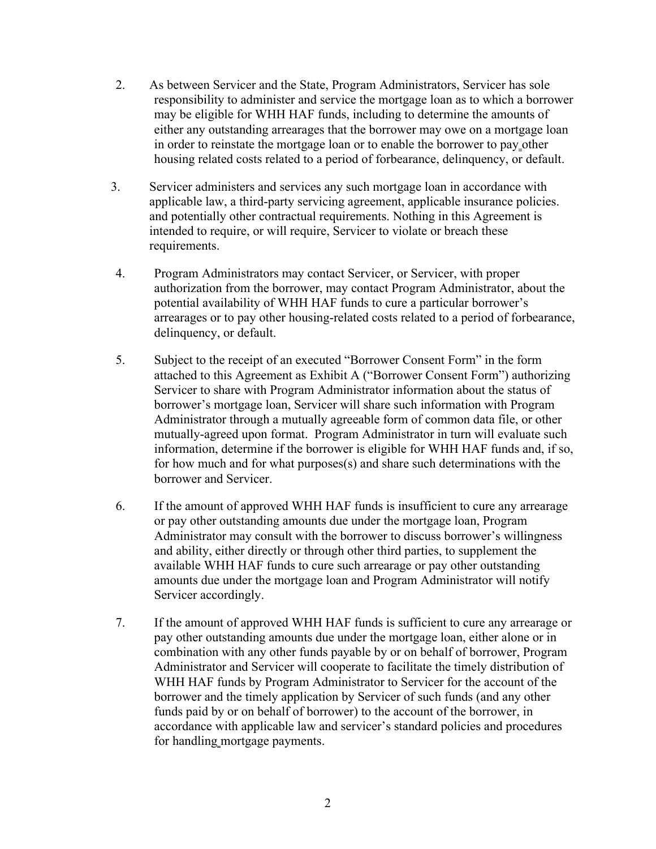- 2. As between Servicer and the State, Program Administrators, Servicer has sole responsibility to administer and service the mortgage loan as to which a borrower may be eligible for WHH HAF funds, including to determine the amounts of either any outstanding arrearages that the borrower may owe on a mortgage loan in order to reinstate the mortgage loan or to enable the borrower to pay other housing related costs related to a period of forbearance, delinquency, or default.
- 3. Servicer administers and services any such mortgage loan in accordance with applicable law, a third-party servicing agreement, applicable insurance policies. and potentially other contractual requirements. Nothing in this Agreement is intended to require, or will require, Servicer to violate or breach these requirements.
- 4. Program Administrators may contact Servicer, or Servicer, with proper authorization from the borrower, may contact Program Administrator, about the potential availability of WHH HAF funds to cure a particular borrower's arrearages or to pay other housing-related costs related to a period of forbearance, delinquency, or default.
- 5. Subject to the receipt of an executed "Borrower Consent Form" in the form attached to this Agreement as Exhibit A ("Borrower Consent Form") authorizing Servicer to share with Program Administrator information about the status of borrower's mortgage loan, Servicer will share such information with Program Administrator through a mutually agreeable form of common data file, or other mutually-agreed upon format. Program Administrator in turn will evaluate such information, determine if the borrower is eligible for WHH HAF funds and, if so, for how much and for what purposes(s) and share such determinations with the borrower and Servicer.
- 6. If the amount of approved WHH HAF funds is insufficient to cure any arrearage or pay other outstanding amounts due under the mortgage loan, Program Administrator may consult with the borrower to discuss borrower's willingness and ability, either directly or through other third parties, to supplement the available WHH HAF funds to cure such arrearage or pay other outstanding amounts due under the mortgage loan and Program Administrator will notify Servicer accordingly.
- 7. If the amount of approved WHH HAF funds is sufficient to cure any arrearage or pay other outstanding amounts due under the mortgage loan, either alone or in combination with any other funds payable by or on behalf of borrower, Program Administrator and Servicer will cooperate to facilitate the timely distribution of WHH HAF funds by Program Administrator to Servicer for the account of the borrower and the timely application by Servicer of such funds (and any other funds paid by or on behalf of borrower) to the account of the borrower, in accordance with applicable law and servicer's standard policies and procedures for handling mortgage payments.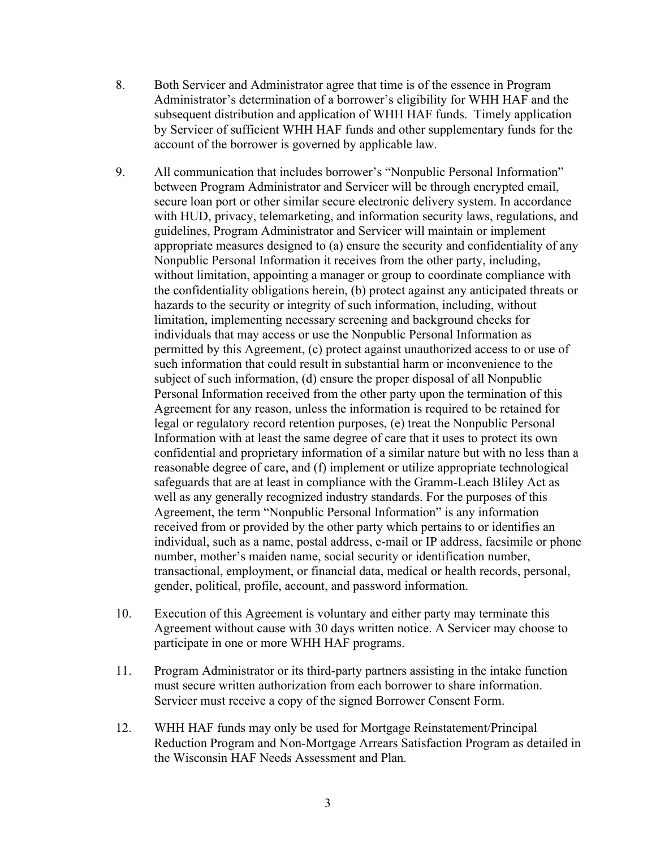- 8. Both Servicer and Administrator agree that time is of the essence in Program Administrator's determination of a borrower's eligibility for WHH HAF and the subsequent distribution and application of WHH HAF funds. Timely application by Servicer of sufficient WHH HAF funds and other supplementary funds for the account of the borrower is governed by applicable law.
- 9. All communication that includes borrower's "Nonpublic Personal Information" between Program Administrator and Servicer will be through encrypted email, secure loan port or other similar secure electronic delivery system. In accordance with HUD, privacy, telemarketing, and information security laws, regulations, and guidelines, Program Administrator and Servicer will maintain or implement appropriate measures designed to (a) ensure the security and confidentiality of any Nonpublic Personal Information it receives from the other party, including, without limitation, appointing a manager or group to coordinate compliance with the confidentiality obligations herein, (b) protect against any anticipated threats or hazards to the security or integrity of such information, including, without limitation, implementing necessary screening and background checks for individuals that may access or use the Nonpublic Personal Information as permitted by this Agreement, (c) protect against unauthorized access to or use of such information that could result in substantial harm or inconvenience to the subject of such information, (d) ensure the proper disposal of all Nonpublic Personal Information received from the other party upon the termination of this Agreement for any reason, unless the information is required to be retained for legal or regulatory record retention purposes, (e) treat the Nonpublic Personal Information with at least the same degree of care that it uses to protect its own confidential and proprietary information of a similar nature but with no less than a reasonable degree of care, and (f) implement or utilize appropriate technological safeguards that are at least in compliance with the Gramm-Leach Bliley Act as well as any generally recognized industry standards. For the purposes of this Agreement, the term "Nonpublic Personal Information" is any information received from or provided by the other party which pertains to or identifies an individual, such as a name, postal address, e-mail or IP address, facsimile or phone number, mother's maiden name, social security or identification number, transactional, employment, or financial data, medical or health records, personal, gender, political, profile, account, and password information.
- 10. Execution of this Agreement is voluntary and either party may terminate this Agreement without cause with 30 days written notice. A Servicer may choose to participate in one or more WHH HAF programs.
- 11. Program Administrator or its third-party partners assisting in the intake function must secure written authorization from each borrower to share information. Servicer must receive a copy of the signed Borrower Consent Form.
- 12. WHH HAF funds may only be used for Mortgage Reinstatement/Principal Reduction Program and Non-Mortgage Arrears Satisfaction Program as detailed in the Wisconsin HAF Needs Assessment and Plan.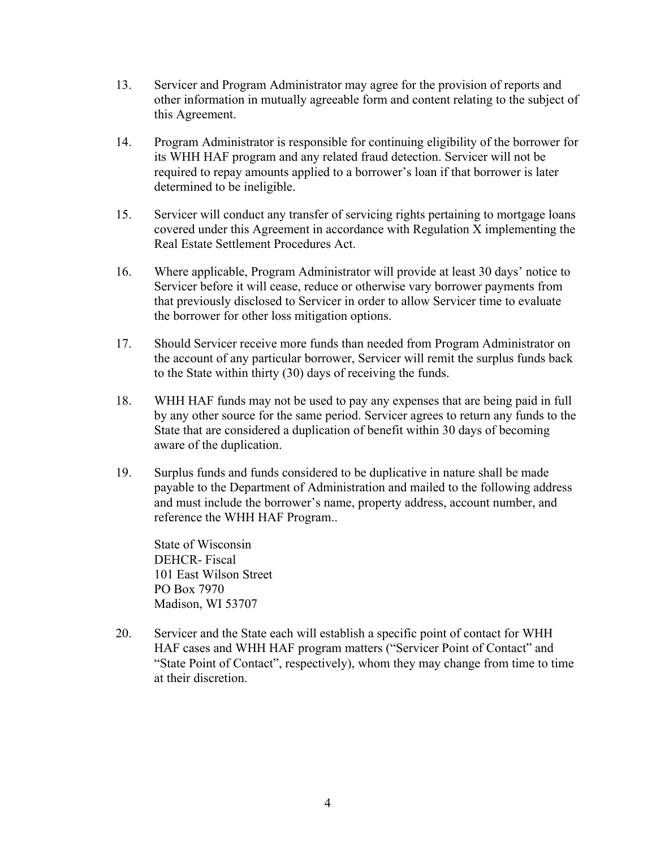- 13. Servicer and Program Administrator may agree for the provision of reports and other information in mutually agreeable form and content relating to the subject of this Agreement.
- 14. Program Administrator is responsible for continuing eligibility of the borrower for its WHH HAF program and any related fraud detection. Servicer will not be required to repay amounts applied to a borrower's loan if that borrower is later determined to be ineligible.
- 15. Servicer will conduct any transfer of servicing rights pertaining to mortgage loans covered under this Agreement in accordance with Regulation X implementing the Real Estate Settlement Procedures Act.
- 16. Where applicable, Program Administrator will provide at least 30 days' notice to Servicer before it will cease, reduce or otherwise vary borrower payments from that previously disclosed to Servicer in order to allow Servicer time to evaluate the borrower for other loss mitigation options.
- 17. Should Servicer receive more funds than needed from Program Administrator on the account of any particular borrower, Servicer will remit the surplus funds back to the State within thirty (30) days of receiving the funds.
- 18. WHH HAF funds may not be used to pay any expenses that are being paid in full by any other source for the same period. Servicer agrees to return any funds to the State that are considered a duplication of benefit within 30 days of becoming aware of the duplication.
- 19. Surplus funds and funds considered to be duplicative in nature shall be made payable to the Department of Administration and mailed to the following address and must include the borrower's name, property address, account number, and reference the WHH HAF Program..

State of Wisconsin DEHCR- Fiscal 101 East Wilson Street PO Box 7970 Madison, WI 53707

20. Servicer and the State each will establish a specific point of contact for WHH HAF cases and WHH HAF program matters ("Servicer Point of Contact" and "State Point of Contact", respectively), whom they may change from time to time at their discretion.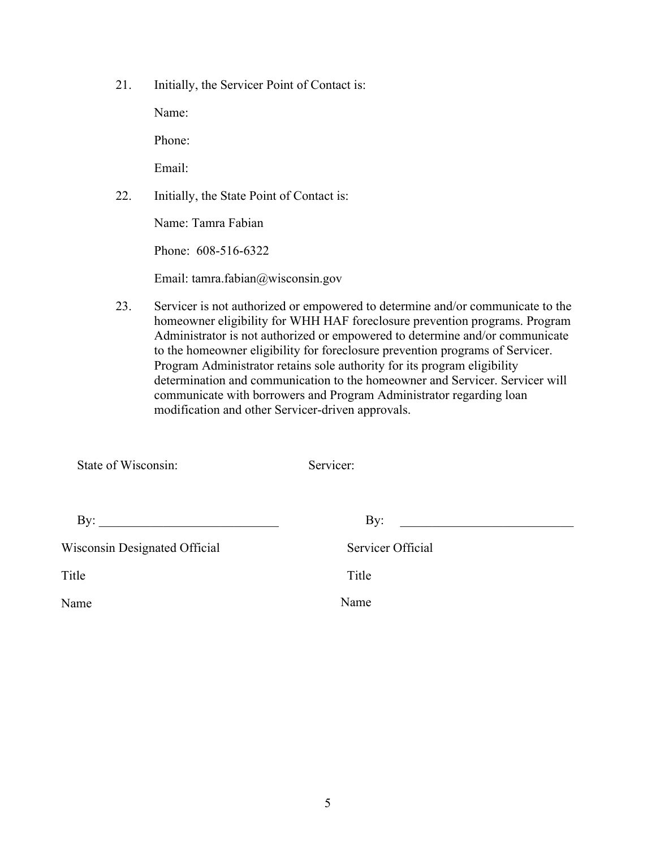21. Initially, the Servicer Point of Contact is:

Name:

Phone:

Email:

22. Initially, the State Point of Contact is:

Name: Tamra Fabian

Phone: 608-516-6322

Email: tamra.fabian@wisconsin.gov

23. Servicer is not authorized or empowered to determine and/or communicate to the homeowner eligibility for WHH HAF foreclosure prevention programs. Program Administrator is not authorized or empowered to determine and/or communicate to the homeowner eligibility for foreclosure prevention programs of Servicer. Program Administrator retains sole authority for its program eligibility determination and communication to the homeowner and Servicer. Servicer will communicate with borrowers and Program Administrator regarding loan modification and other Servicer-driven approvals.

| State of Wisconsin:           | Servicer:         |  |
|-------------------------------|-------------------|--|
|                               |                   |  |
| By:                           | By:               |  |
| Wisconsin Designated Official | Servicer Official |  |
| Title                         | Title             |  |
| Name                          | Name              |  |
|                               |                   |  |